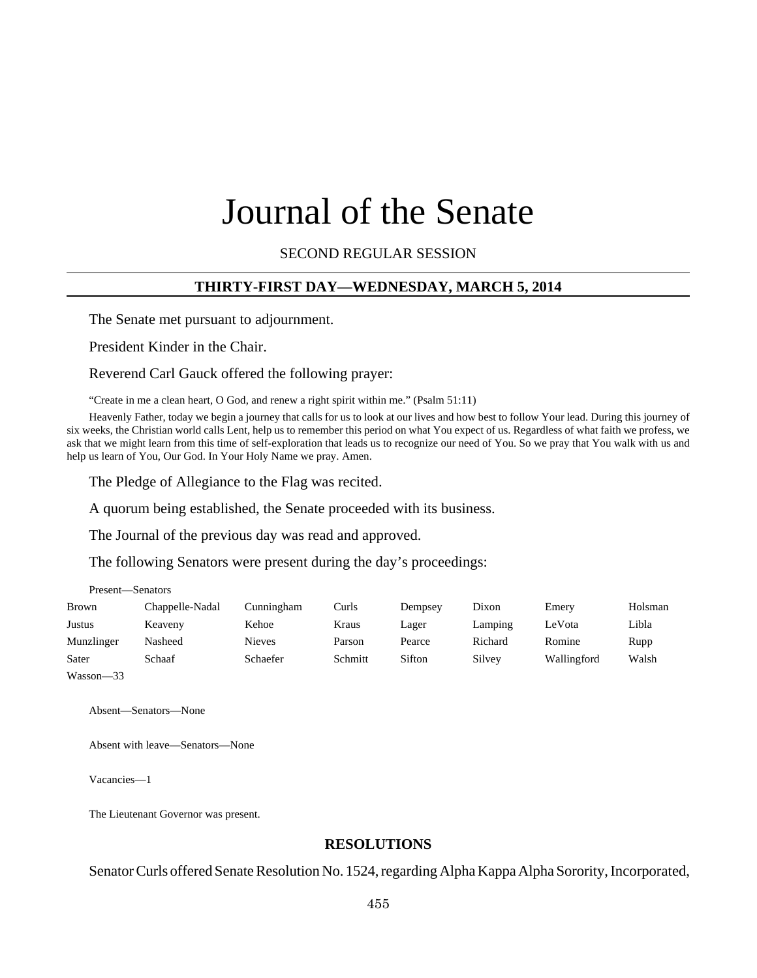# Journal of the Senate

SECOND REGULAR SESSION

#### **THIRTY-FIRST DAY—WEDNESDAY, MARCH 5, 2014**

The Senate met pursuant to adjournment.

President Kinder in the Chair.

Reverend Carl Gauck offered the following prayer:

"Create in me a clean heart, O God, and renew a right spirit within me." (Psalm 51:11)

Heavenly Father, today we begin a journey that calls for us to look at our lives and how best to follow Your lead. During this journey of six weeks, the Christian world calls Lent, help us to remember this period on what You expect of us. Regardless of what faith we profess, we ask that we might learn from this time of self-exploration that leads us to recognize our need of You. So we pray that You walk with us and help us learn of You, Our God. In Your Holy Name we pray. Amen.

The Pledge of Allegiance to the Flag was recited.

A quorum being established, the Senate proceeded with its business.

The Journal of the previous day was read and approved.

The following Senators were present during the day's proceedings:

| Present-Senators |                 |               |         |         |         |             |         |
|------------------|-----------------|---------------|---------|---------|---------|-------------|---------|
| <b>Brown</b>     | Chappelle-Nadal | Cunningham    | Curls   | Dempsey | Dixon   | Emery       | Holsman |
| Justus           | Keaveny         | Kehoe         | Kraus   | Lager   | Lamping | LeVota      | Libla   |
| Munzlinger       | Nasheed         | <b>Nieves</b> | Parson  | Pearce  | Richard | Romine      | Rupp    |
| Sater            | Schaaf          | Schaefer      | Schmitt | Sifton  | Silvey  | Wallingford | Walsh   |
| Wasson-33        |                 |               |         |         |         |             |         |

Absent—Senators—None

Absent with leave—Senators—None

Vacancies—1

The Lieutenant Governor was present.

## **RESOLUTIONS**

Senator Curls offered Senate Resolution No. 1524, regarding Alpha Kappa Alpha Sorority, Incorporated,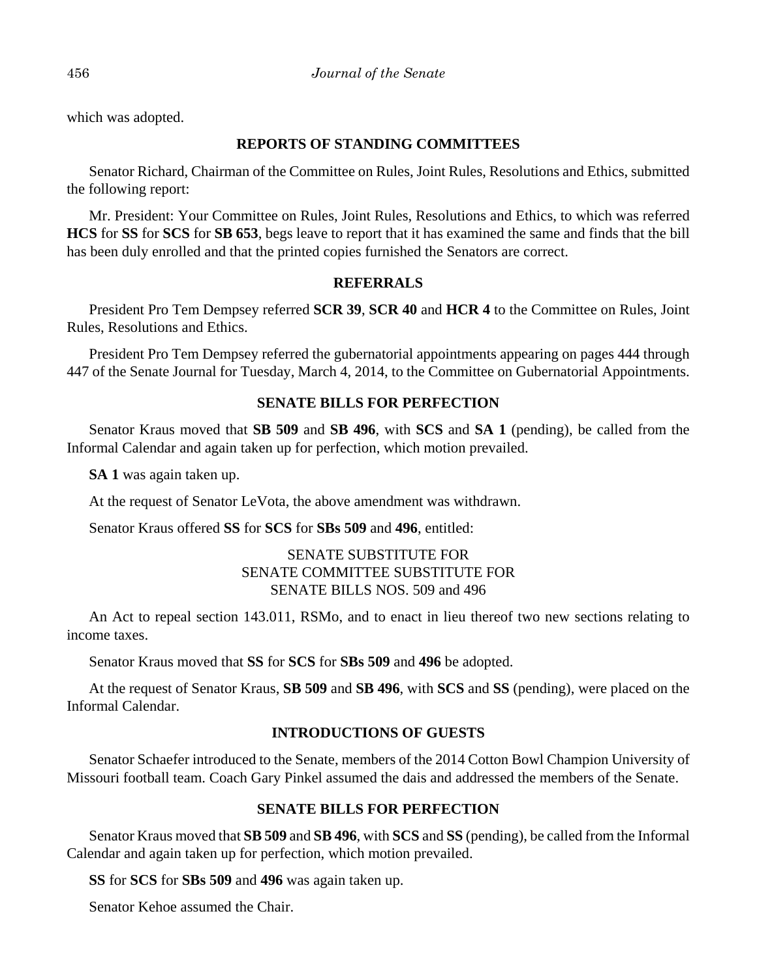which was adopted.

# **REPORTS OF STANDING COMMITTEES**

Senator Richard, Chairman of the Committee on Rules, Joint Rules, Resolutions and Ethics, submitted the following report:

Mr. President: Your Committee on Rules, Joint Rules, Resolutions and Ethics, to which was referred **HCS** for **SS** for **SCS** for **SB 653**, begs leave to report that it has examined the same and finds that the bill has been duly enrolled and that the printed copies furnished the Senators are correct.

# **REFERRALS**

President Pro Tem Dempsey referred **SCR 39**, **SCR 40** and **HCR 4** to the Committee on Rules, Joint Rules, Resolutions and Ethics.

President Pro Tem Dempsey referred the gubernatorial appointments appearing on pages 444 through 447 of the Senate Journal for Tuesday, March 4, 2014, to the Committee on Gubernatorial Appointments.

# **SENATE BILLS FOR PERFECTION**

Senator Kraus moved that **SB 509** and **SB 496**, with **SCS** and **SA 1** (pending), be called from the Informal Calendar and again taken up for perfection, which motion prevailed.

**SA 1** was again taken up.

At the request of Senator LeVota, the above amendment was withdrawn.

Senator Kraus offered **SS** for **SCS** for **SBs 509** and **496**, entitled:

# SENATE SUBSTITUTE FOR SENATE COMMITTEE SUBSTITUTE FOR SENATE BILLS NOS. 509 and 496

An Act to repeal section 143.011, RSMo, and to enact in lieu thereof two new sections relating to income taxes.

Senator Kraus moved that **SS** for **SCS** for **SBs 509** and **496** be adopted.

At the request of Senator Kraus, **SB 509** and **SB 496**, with **SCS** and **SS** (pending), were placed on the Informal Calendar.

# **INTRODUCTIONS OF GUESTS**

Senator Schaefer introduced to the Senate, members of the 2014 Cotton Bowl Champion University of Missouri football team. Coach Gary Pinkel assumed the dais and addressed the members of the Senate.

# **SENATE BILLS FOR PERFECTION**

Senator Kraus moved that **SB 509** and **SB 496**, with **SCS** and **SS** (pending), be called from the Informal Calendar and again taken up for perfection, which motion prevailed.

**SS** for **SCS** for **SBs 509** and **496** was again taken up.

Senator Kehoe assumed the Chair.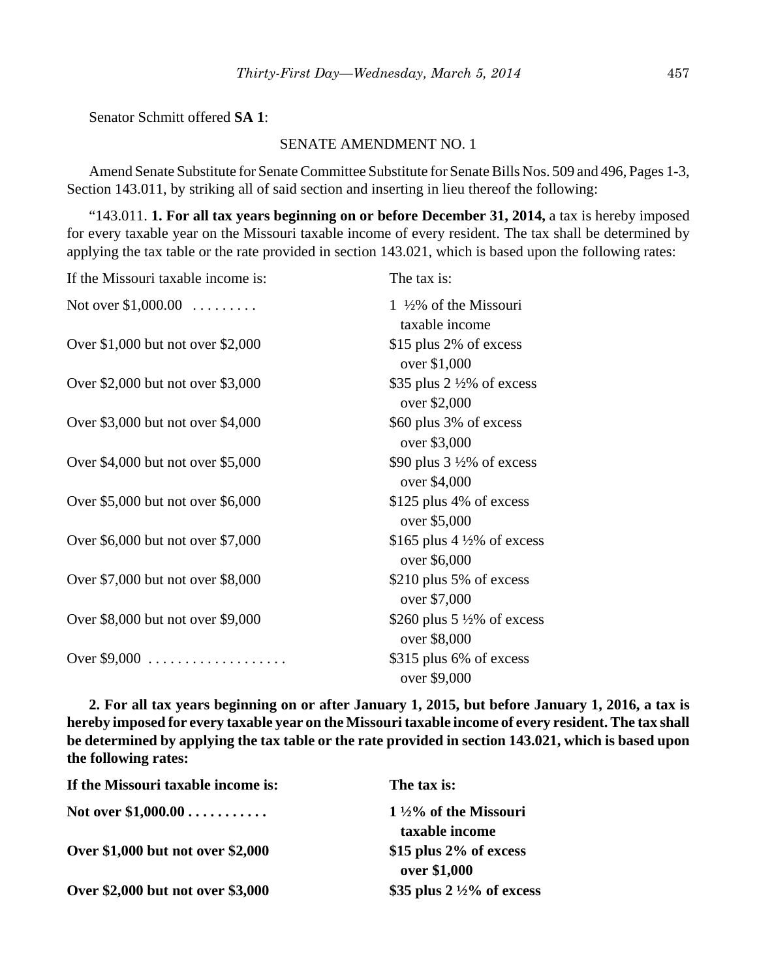Senator Schmitt offered **SA 1**:

#### SENATE AMENDMENT NO. 1

Amend Senate Substitute for Senate Committee Substitute for Senate Bills Nos. 509 and 496, Pages 1-3, Section 143.011, by striking all of said section and inserting in lieu thereof the following:

"143.011. **1. For all tax years beginning on or before December 31, 2014,** a tax is hereby imposed for every taxable year on the Missouri taxable income of every resident. The tax shall be determined by applying the tax table or the rate provided in section 143.021, which is based upon the following rates:

| If the Missouri taxable income is: | The tax is:                                            |
|------------------------------------|--------------------------------------------------------|
| Not over $$1,000.00$               | $1\frac{1}{2}\%$ of the Missouri<br>taxable income     |
| Over \$1,000 but not over \$2,000  | \$15 plus 2% of excess<br>over \$1,000                 |
| Over \$2,000 but not over \$3,000  | \$35 plus $2\frac{1}{2}\%$ of excess<br>over \$2,000   |
| Over \$3,000 but not over \$4,000  | \$60 plus 3% of excess<br>over \$3,000                 |
| Over \$4,000 but not over \$5,000  | \$90 plus $3\frac{1}{2}\%$ of excess<br>over \$4,000   |
| Over \$5,000 but not over \$6,000  | \$125 plus 4% of excess<br>over \$5,000                |
| Over \$6,000 but not over \$7,000  | \$165 plus 4 $\frac{1}{2}\%$ of excess<br>over \$6,000 |
| Over \$7,000 but not over \$8,000  | \$210 plus 5% of excess<br>over \$7,000                |
| Over \$8,000 but not over \$9,000  | \$260 plus 5 $\frac{1}{2}\%$ of excess<br>over \$8,000 |
| Over \$9,000 $\dots$               | \$315 plus 6% of excess<br>over \$9,000                |

**2. For all tax years beginning on or after January 1, 2015, but before January 1, 2016, a tax is hereby imposed for every taxable year on the Missouri taxable income of every resident. The tax shall be determined by applying the tax table or the rate provided in section 143.021, which is based upon the following rates:**

| If the Missouri taxable income is: | The tax is:                                          |
|------------------------------------|------------------------------------------------------|
| Not over $$1,000.00$               | $1\frac{1}{2}\%$ of the Missouri                     |
| Over \$1,000 but not over \$2,000  | taxable income<br>\$15 plus 2% of excess             |
| Over \$2,000 but not over \$3,000  | over \$1,000<br>\$35 plus $2\frac{1}{2}\%$ of excess |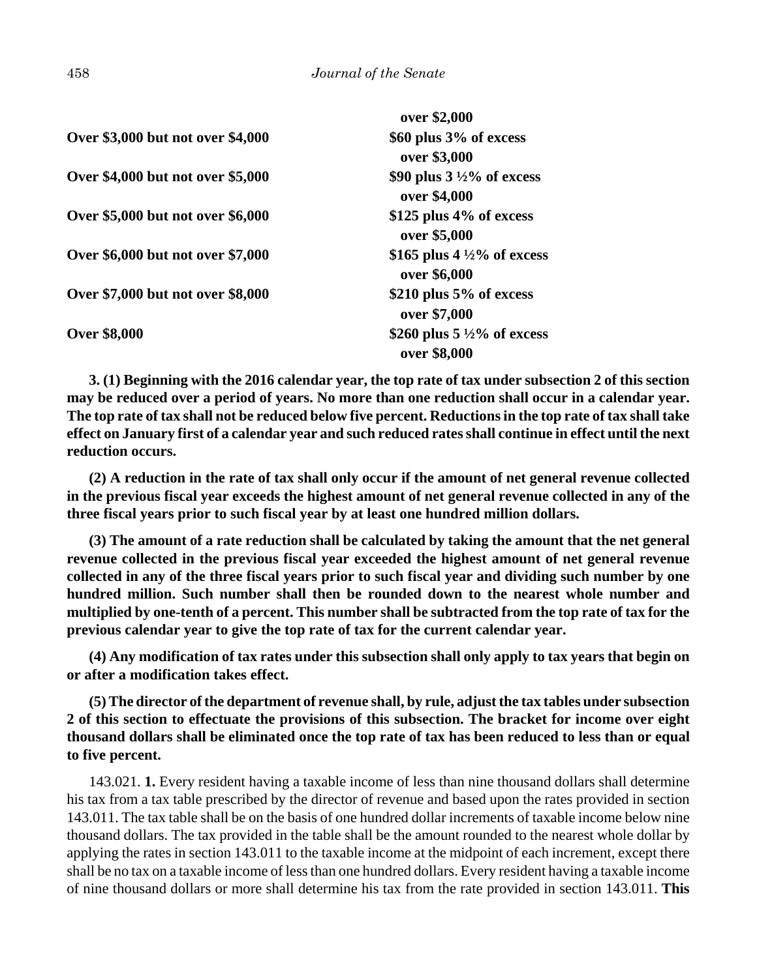|                                   | over \$2,000                                           |
|-----------------------------------|--------------------------------------------------------|
| Over \$3,000 but not over \$4,000 | \$60 plus 3% of excess<br>over \$3,000                 |
| Over \$4,000 but not over \$5,000 | \$90 plus $3\frac{1}{2}\%$ of excess<br>over \$4,000   |
| Over \$5,000 but not over \$6,000 | $$125$ plus 4% of excess<br>over \$5,000               |
| Over \$6,000 but not over \$7,000 | \$165 plus 4 $\frac{1}{2}$ % of excess<br>over \$6,000 |
| Over \$7,000 but not over \$8,000 | \$210 plus $5\%$ of excess<br>over \$7,000             |
| <b>Over \$8,000</b>               | \$260 plus $5\frac{1}{2}\%$ of excess<br>over \$8,000  |

**3. (1) Beginning with the 2016 calendar year, the top rate of tax under subsection 2 of this section may be reduced over a period of years. No more than one reduction shall occur in a calendar year. The top rate of tax shall not be reduced below five percent. Reductions in the top rate of tax shall take effect on January first of a calendar year and such reduced rates shall continue in effect until the next reduction occurs.**

**(2) A reduction in the rate of tax shall only occur if the amount of net general revenue collected in the previous fiscal year exceeds the highest amount of net general revenue collected in any of the three fiscal years prior to such fiscal year by at least one hundred million dollars.**

**(3) The amount of a rate reduction shall be calculated by taking the amount that the net general revenue collected in the previous fiscal year exceeded the highest amount of net general revenue collected in any of the three fiscal years prior to such fiscal year and dividing such number by one hundred million. Such number shall then be rounded down to the nearest whole number and multiplied by one-tenth of a percent. This number shall be subtracted from the top rate of tax for the previous calendar year to give the top rate of tax for the current calendar year.**

**(4) Any modification of tax rates under this subsection shall only apply to tax years that begin on or after a modification takes effect.**

**(5) The director of the department of revenue shall, by rule, adjust the tax tables under subsection 2 of this section to effectuate the provisions of this subsection. The bracket for income over eight thousand dollars shall be eliminated once the top rate of tax has been reduced to less than or equal to five percent.**

143.021. **1.** Every resident having a taxable income of less than nine thousand dollars shall determine his tax from a tax table prescribed by the director of revenue and based upon the rates provided in section 143.011. The tax table shall be on the basis of one hundred dollar increments of taxable income below nine thousand dollars. The tax provided in the table shall be the amount rounded to the nearest whole dollar by applying the rates in section 143.011 to the taxable income at the midpoint of each increment, except there shall be no tax on a taxable income of less than one hundred dollars. Every resident having a taxable income of nine thousand dollars or more shall determine his tax from the rate provided in section 143.011. **This**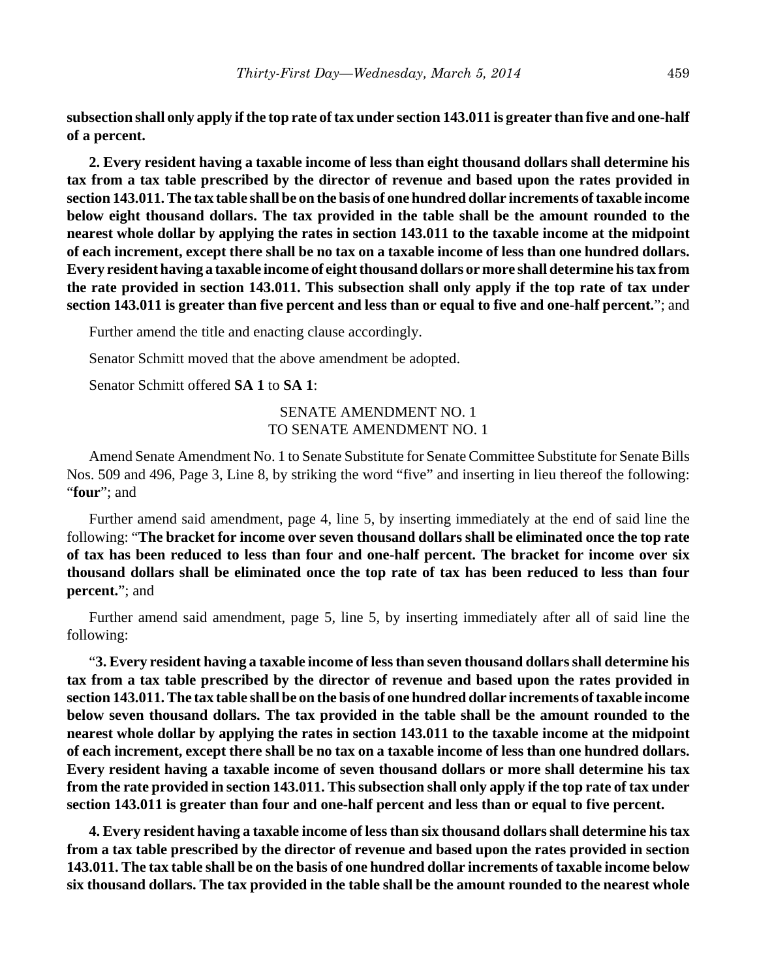**subsection shall only apply if the top rate of tax under section 143.011 is greater than five and one-half of a percent.**

**2. Every resident having a taxable income of less than eight thousand dollars shall determine his tax from a tax table prescribed by the director of revenue and based upon the rates provided in section 143.011. The tax table shall be on the basis of one hundred dollar increments of taxable income below eight thousand dollars. The tax provided in the table shall be the amount rounded to the nearest whole dollar by applying the rates in section 143.011 to the taxable income at the midpoint of each increment, except there shall be no tax on a taxable income of less than one hundred dollars. Every resident having a taxable income of eight thousand dollars or more shall determine his tax from the rate provided in section 143.011. This subsection shall only apply if the top rate of tax under section 143.011 is greater than five percent and less than or equal to five and one-half percent.**"; and

Further amend the title and enacting clause accordingly.

Senator Schmitt moved that the above amendment be adopted.

Senator Schmitt offered **SA 1** to **SA 1**:

# SENATE AMENDMENT NO. 1 TO SENATE AMENDMENT NO. 1

Amend Senate Amendment No. 1 to Senate Substitute for Senate Committee Substitute for Senate Bills Nos. 509 and 496, Page 3, Line 8, by striking the word "five" and inserting in lieu thereof the following: "**four**"; and

Further amend said amendment, page 4, line 5, by inserting immediately at the end of said line the following: "**The bracket for income over seven thousand dollars shall be eliminated once the top rate of tax has been reduced to less than four and one-half percent. The bracket for income over six thousand dollars shall be eliminated once the top rate of tax has been reduced to less than four percent.**"; and

Further amend said amendment, page 5, line 5, by inserting immediately after all of said line the following:

"**3. Every resident having a taxable income of less than seven thousand dollars shall determine his tax from a tax table prescribed by the director of revenue and based upon the rates provided in section 143.011. The tax table shall be on the basis of one hundred dollar increments of taxable income below seven thousand dollars. The tax provided in the table shall be the amount rounded to the nearest whole dollar by applying the rates in section 143.011 to the taxable income at the midpoint of each increment, except there shall be no tax on a taxable income of less than one hundred dollars. Every resident having a taxable income of seven thousand dollars or more shall determine his tax from the rate provided in section 143.011. This subsection shall only apply if the top rate of tax under section 143.011 is greater than four and one-half percent and less than or equal to five percent.**

**4. Every resident having a taxable income of less than six thousand dollars shall determine his tax from a tax table prescribed by the director of revenue and based upon the rates provided in section 143.011. The tax table shall be on the basis of one hundred dollar increments of taxable income below six thousand dollars. The tax provided in the table shall be the amount rounded to the nearest whole**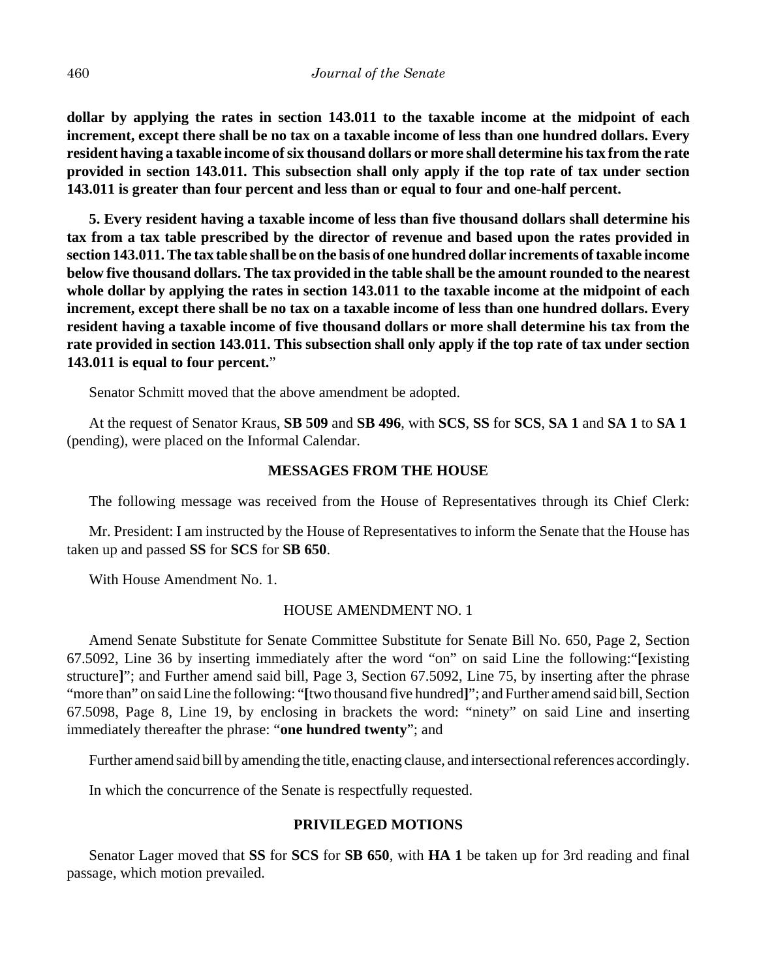**dollar by applying the rates in section 143.011 to the taxable income at the midpoint of each increment, except there shall be no tax on a taxable income of less than one hundred dollars. Every resident having a taxable income of six thousand dollars or more shall determine his tax from the rate provided in section 143.011. This subsection shall only apply if the top rate of tax under section 143.011 is greater than four percent and less than or equal to four and one-half percent.**

**5. Every resident having a taxable income of less than five thousand dollars shall determine his tax from a tax table prescribed by the director of revenue and based upon the rates provided in section 143.011. The tax table shall be on the basis of one hundred dollar increments of taxable income below five thousand dollars. The tax provided in the table shall be the amount rounded to the nearest whole dollar by applying the rates in section 143.011 to the taxable income at the midpoint of each increment, except there shall be no tax on a taxable income of less than one hundred dollars. Every resident having a taxable income of five thousand dollars or more shall determine his tax from the rate provided in section 143.011. This subsection shall only apply if the top rate of tax under section 143.011 is equal to four percent.**"

Senator Schmitt moved that the above amendment be adopted.

At the request of Senator Kraus, **SB 509** and **SB 496**, with **SCS**, **SS** for **SCS**, **SA 1** and **SA 1** to **SA 1** (pending), were placed on the Informal Calendar.

# **MESSAGES FROM THE HOUSE**

The following message was received from the House of Representatives through its Chief Clerk:

Mr. President: I am instructed by the House of Representatives to inform the Senate that the House has taken up and passed **SS** for **SCS** for **SB 650**.

With House Amendment No. 1.

#### HOUSE AMENDMENT NO. 1

Amend Senate Substitute for Senate Committee Substitute for Senate Bill No. 650, Page 2, Section 67.5092, Line 36 by inserting immediately after the word "on" on said Line the following:"**[**existing structure**]**"; and Further amend said bill, Page 3, Section 67.5092, Line 75, by inserting after the phrase "more than" on said Line the following: "**[**two thousand five hundred**]**"; and Further amend said bill, Section 67.5098, Page 8, Line 19, by enclosing in brackets the word: "ninety" on said Line and inserting immediately thereafter the phrase: "**one hundred twenty**"; and

Further amend said bill by amending the title, enacting clause, and intersectional references accordingly.

In which the concurrence of the Senate is respectfully requested.

#### **PRIVILEGED MOTIONS**

Senator Lager moved that **SS** for **SCS** for **SB 650**, with **HA 1** be taken up for 3rd reading and final passage, which motion prevailed.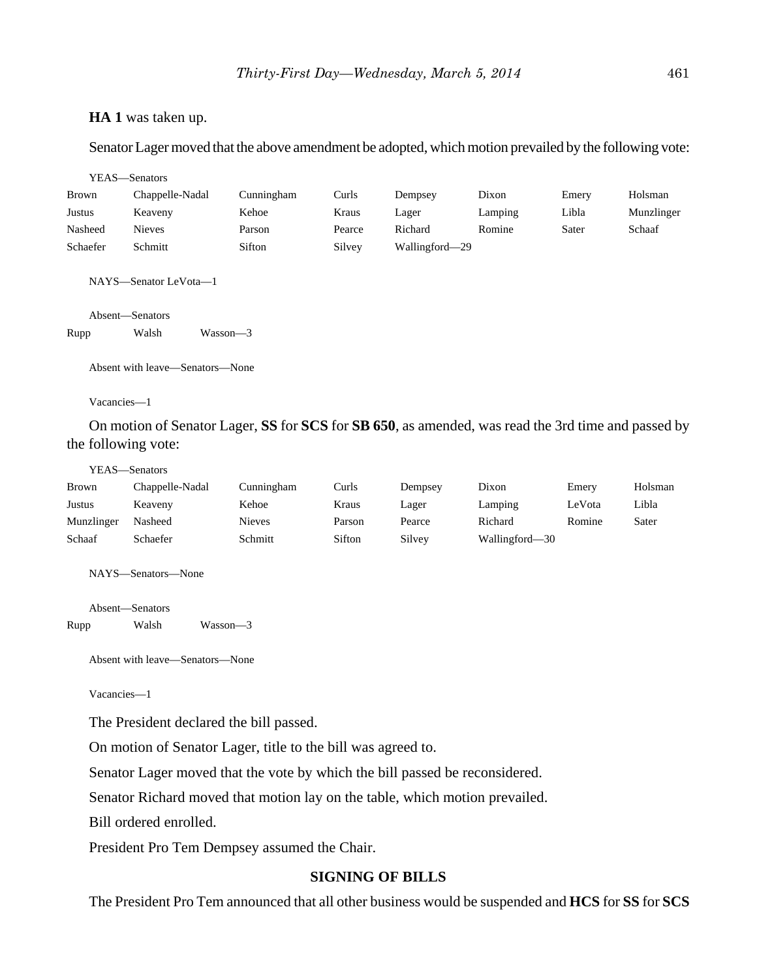#### **HA 1** was taken up.

Senator Lager moved that the above amendment be adopted, which motion prevailed by the following vote:

|              | YEAS-Senators                            |            |        |                |         |       |            |
|--------------|------------------------------------------|------------|--------|----------------|---------|-------|------------|
| <b>Brown</b> | Chappelle-Nadal                          | Cunningham | Curls  | Dempsey        | Dixon   | Emery | Holsman    |
| Justus       | Keaveny                                  | Kehoe      | Kraus  | Lager          | Lamping | Libla | Munzlinger |
| Nasheed      | <b>Nieves</b>                            | Parson     | Pearce | Richard        | Romine  | Sater | Schaaf     |
| Schaefer     | Schmitt                                  | Sifton     | Silvey | Wallingford-29 |         |       |            |
|              | NAYS-Senator LeVota-1<br>Absent-Senators |            |        |                |         |       |            |
| Rupp         | Walsh<br>Wasson-3                        |            |        |                |         |       |            |
| Vacancies-1  | Absent with leave—Senators—None          |            |        |                |         |       |            |

On motion of Senator Lager, **SS** for **SCS** for **SB 650**, as amended, was read the 3rd time and passed by the following vote:

#### YEAS—Senators

| <b>Brown</b> | Chappelle-Nadal | Cunningham    | Curls  | Dempsey | Dixon          | Emery  | Holsman |
|--------------|-----------------|---------------|--------|---------|----------------|--------|---------|
| Justus       | Keaveny         | Kehoe         | Kraus  | Lager   | Lamping        | LeVota | Libla   |
| Munzlinger   | Nasheed         | <b>Nieves</b> | Parson | Pearce  | Richard        | Romine | Sater   |
| Schaaf       | Schaefer        | Schmitt       | Sifton | Silvey  | Wallingford—30 |        |         |

NAYS—Senators—None

Absent—Senators

Rupp Walsh Wasson—3

Absent with leave—Senators—None

Vacancies—1

The President declared the bill passed.

On motion of Senator Lager, title to the bill was agreed to.

Senator Lager moved that the vote by which the bill passed be reconsidered.

Senator Richard moved that motion lay on the table, which motion prevailed.

Bill ordered enrolled.

President Pro Tem Dempsey assumed the Chair.

## **SIGNING OF BILLS**

The President Pro Tem announced that all other business would be suspended and **HCS** for **SS** for **SCS**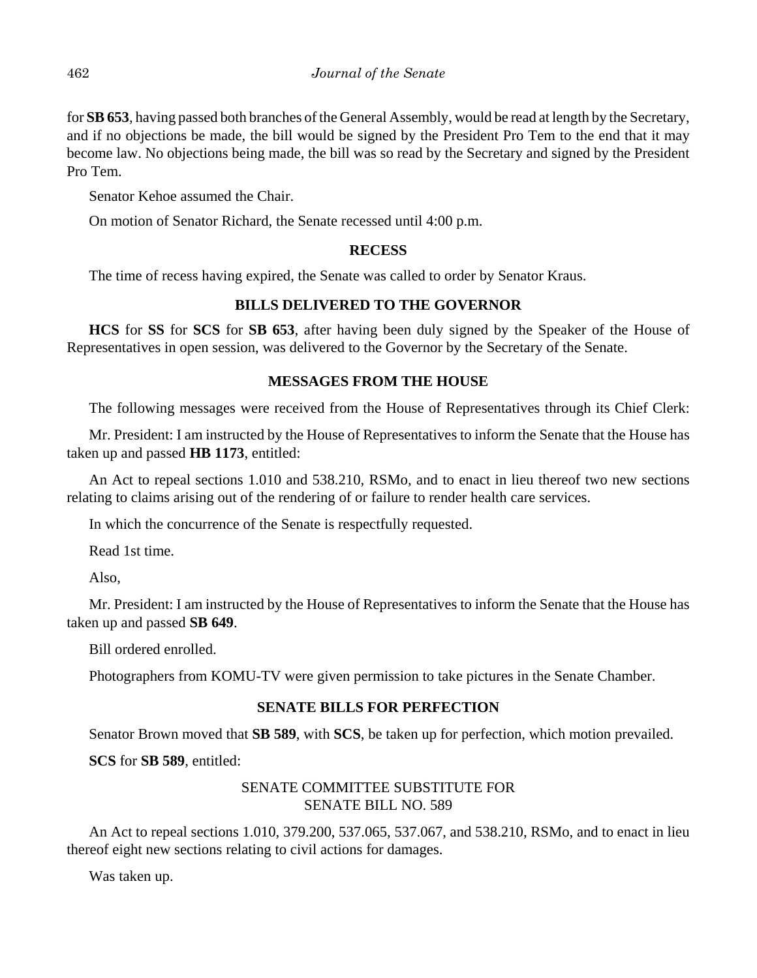for **SB 653**, having passed both branches of the General Assembly, would be read at length by the Secretary, and if no objections be made, the bill would be signed by the President Pro Tem to the end that it may become law. No objections being made, the bill was so read by the Secretary and signed by the President Pro Tem.

Senator Kehoe assumed the Chair.

On motion of Senator Richard, the Senate recessed until 4:00 p.m.

# **RECESS**

The time of recess having expired, the Senate was called to order by Senator Kraus.

# **BILLS DELIVERED TO THE GOVERNOR**

**HCS** for **SS** for **SCS** for **SB 653**, after having been duly signed by the Speaker of the House of Representatives in open session, was delivered to the Governor by the Secretary of the Senate.

# **MESSAGES FROM THE HOUSE**

The following messages were received from the House of Representatives through its Chief Clerk:

Mr. President: I am instructed by the House of Representatives to inform the Senate that the House has taken up and passed **HB 1173**, entitled:

An Act to repeal sections 1.010 and 538.210, RSMo, and to enact in lieu thereof two new sections relating to claims arising out of the rendering of or failure to render health care services.

In which the concurrence of the Senate is respectfully requested.

Read 1st time.

Also,

Mr. President: I am instructed by the House of Representatives to inform the Senate that the House has taken up and passed **SB 649**.

Bill ordered enrolled.

Photographers from KOMU-TV were given permission to take pictures in the Senate Chamber.

## **SENATE BILLS FOR PERFECTION**

Senator Brown moved that **SB 589**, with **SCS**, be taken up for perfection, which motion prevailed.

**SCS** for **SB 589**, entitled:

# SENATE COMMITTEE SUBSTITUTE FOR SENATE BILL NO. 589

An Act to repeal sections 1.010, 379.200, 537.065, 537.067, and 538.210, RSMo, and to enact in lieu thereof eight new sections relating to civil actions for damages.

Was taken up.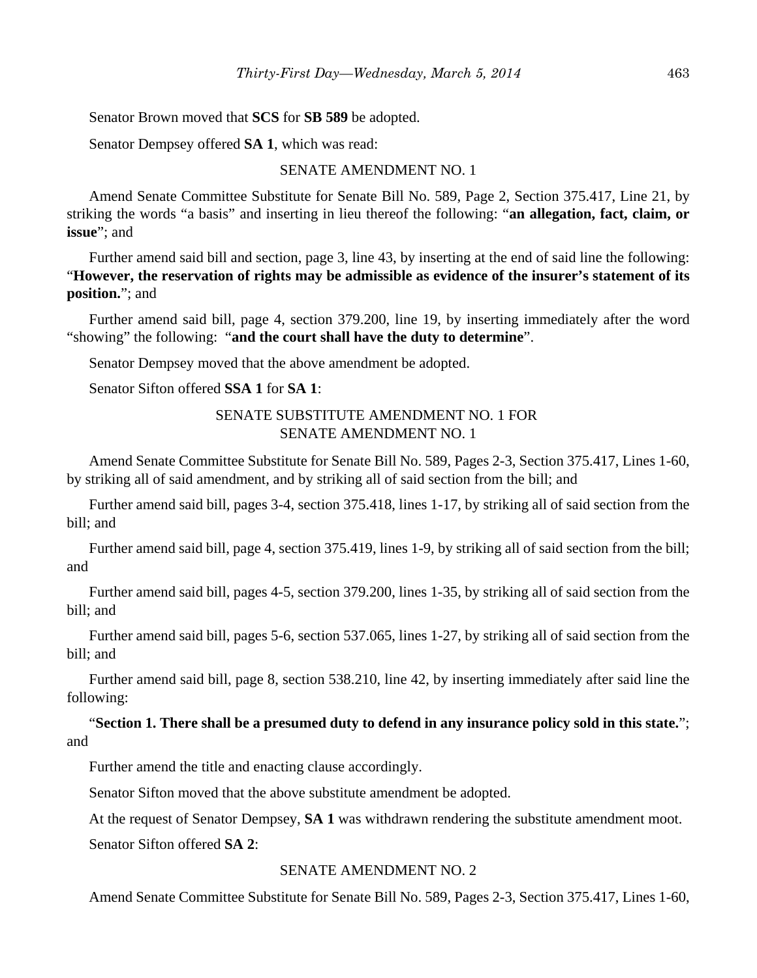Senator Brown moved that **SCS** for **SB 589** be adopted.

Senator Dempsey offered **SA 1**, which was read:

#### SENATE AMENDMENT NO. 1

Amend Senate Committee Substitute for Senate Bill No. 589, Page 2, Section 375.417, Line 21, by striking the words "a basis" and inserting in lieu thereof the following: "**an allegation, fact, claim, or issue**"; and

Further amend said bill and section, page 3, line 43, by inserting at the end of said line the following: "**However, the reservation of rights may be admissible as evidence of the insurer's statement of its position.**"; and

Further amend said bill, page 4, section 379.200, line 19, by inserting immediately after the word "showing" the following: "**and the court shall have the duty to determine**".

Senator Dempsey moved that the above amendment be adopted.

Senator Sifton offered **SSA 1** for **SA 1**:

# SENATE SUBSTITUTE AMENDMENT NO. 1 FOR SENATE AMENDMENT NO. 1

Amend Senate Committee Substitute for Senate Bill No. 589, Pages 2-3, Section 375.417, Lines 1-60, by striking all of said amendment, and by striking all of said section from the bill; and

Further amend said bill, pages 3-4, section 375.418, lines 1-17, by striking all of said section from the bill; and

Further amend said bill, page 4, section 375.419, lines 1-9, by striking all of said section from the bill; and

Further amend said bill, pages 4-5, section 379.200, lines 1-35, by striking all of said section from the bill; and

Further amend said bill, pages 5-6, section 537.065, lines 1-27, by striking all of said section from the bill; and

Further amend said bill, page 8, section 538.210, line 42, by inserting immediately after said line the following:

"**Section 1. There shall be a presumed duty to defend in any insurance policy sold in this state.**"; and

Further amend the title and enacting clause accordingly.

Senator Sifton moved that the above substitute amendment be adopted.

At the request of Senator Dempsey, **SA 1** was withdrawn rendering the substitute amendment moot.

Senator Sifton offered **SA 2**:

#### SENATE AMENDMENT NO. 2

Amend Senate Committee Substitute for Senate Bill No. 589, Pages 2-3, Section 375.417, Lines 1-60,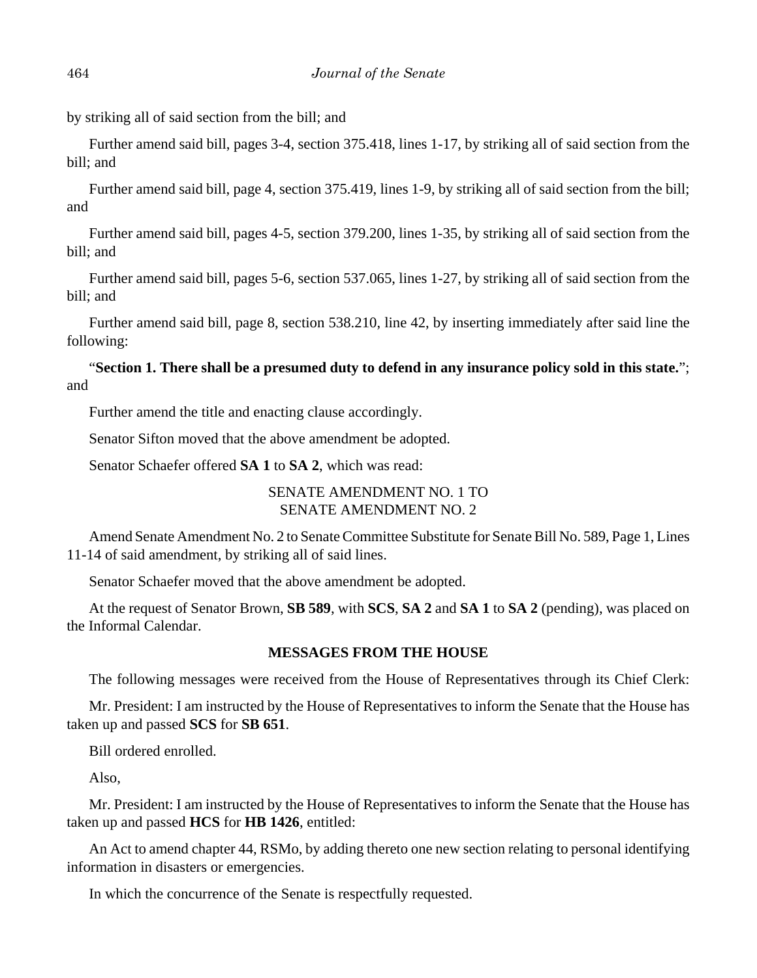by striking all of said section from the bill; and

Further amend said bill, pages 3-4, section 375.418, lines 1-17, by striking all of said section from the bill; and

Further amend said bill, page 4, section 375.419, lines 1-9, by striking all of said section from the bill; and

Further amend said bill, pages 4-5, section 379.200, lines 1-35, by striking all of said section from the bill; and

Further amend said bill, pages 5-6, section 537.065, lines 1-27, by striking all of said section from the bill; and

Further amend said bill, page 8, section 538.210, line 42, by inserting immediately after said line the following:

"**Section 1. There shall be a presumed duty to defend in any insurance policy sold in this state.**"; and

Further amend the title and enacting clause accordingly.

Senator Sifton moved that the above amendment be adopted.

Senator Schaefer offered **SA 1** to **SA 2**, which was read:

## SENATE AMENDMENT NO. 1 TO SENATE AMENDMENT NO. 2

Amend Senate Amendment No. 2 to Senate Committee Substitute for Senate Bill No. 589, Page 1, Lines 11-14 of said amendment, by striking all of said lines.

Senator Schaefer moved that the above amendment be adopted.

At the request of Senator Brown, **SB 589**, with **SCS**, **SA 2** and **SA 1** to **SA 2** (pending), was placed on the Informal Calendar.

## **MESSAGES FROM THE HOUSE**

The following messages were received from the House of Representatives through its Chief Clerk:

Mr. President: I am instructed by the House of Representatives to inform the Senate that the House has taken up and passed **SCS** for **SB 651**.

Bill ordered enrolled.

Also,

Mr. President: I am instructed by the House of Representatives to inform the Senate that the House has taken up and passed **HCS** for **HB 1426**, entitled:

An Act to amend chapter 44, RSMo, by adding thereto one new section relating to personal identifying information in disasters or emergencies.

In which the concurrence of the Senate is respectfully requested.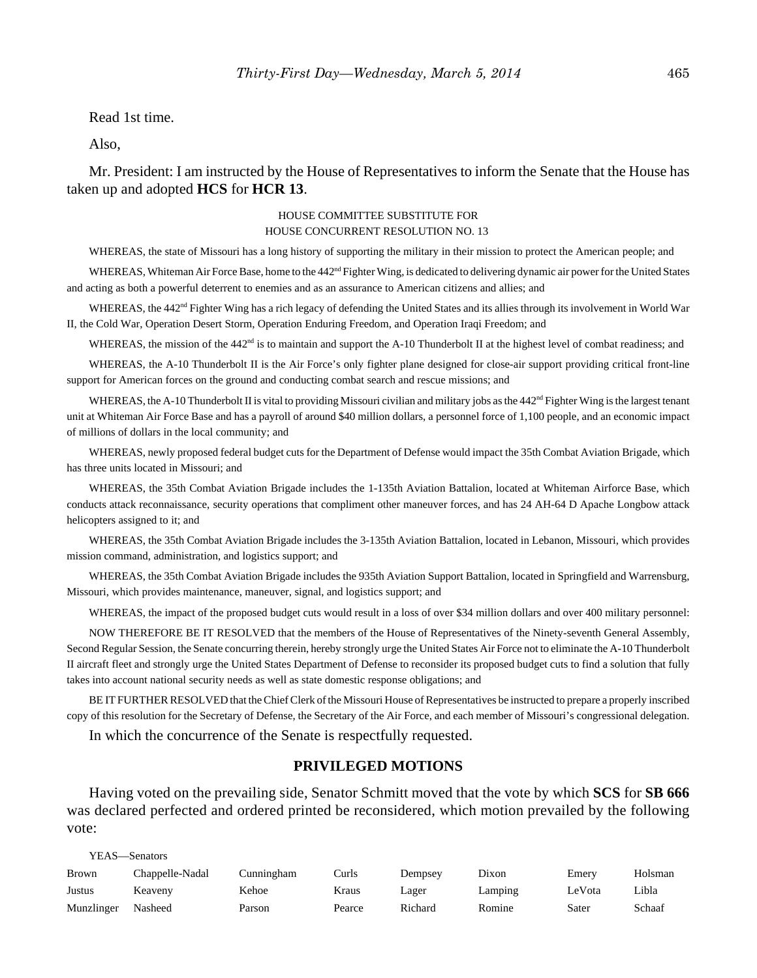Read 1st time.

Also,

Mr. President: I am instructed by the House of Representatives to inform the Senate that the House has taken up and adopted **HCS** for **HCR 13**.

#### HOUSE COMMITTEE SUBSTITUTE FOR HOUSE CONCURRENT RESOLUTION NO. 13

WHEREAS, the state of Missouri has a long history of supporting the military in their mission to protect the American people; and

WHEREAS, Whiteman Air Force Base, home to the 442<sup>nd</sup> Fighter Wing, is dedicated to delivering dynamic air power for the United States and acting as both a powerful deterrent to enemies and as an assurance to American citizens and allies; and

WHEREAS, the 442<sup>nd</sup> Fighter Wing has a rich legacy of defending the United States and its allies through its involvement in World War II, the Cold War, Operation Desert Storm, Operation Enduring Freedom, and Operation Iraqi Freedom; and

WHEREAS, the mission of the 442<sup>nd</sup> is to maintain and support the A-10 Thunderbolt II at the highest level of combat readiness; and

WHEREAS, the A-10 Thunderbolt II is the Air Force's only fighter plane designed for close-air support providing critical front-line support for American forces on the ground and conducting combat search and rescue missions; and

WHEREAS, the A-10 Thunderbolt II is vital to providing Missouri civilian and military jobs as the  $442<sup>nd</sup>$  Fighter Wing is the largest tenant unit at Whiteman Air Force Base and has a payroll of around \$40 million dollars, a personnel force of 1,100 people, and an economic impact of millions of dollars in the local community; and

WHEREAS, newly proposed federal budget cuts for the Department of Defense would impact the 35th Combat Aviation Brigade, which has three units located in Missouri; and

WHEREAS, the 35th Combat Aviation Brigade includes the 1-135th Aviation Battalion, located at Whiteman Airforce Base, which conducts attack reconnaissance, security operations that compliment other maneuver forces, and has 24 AH-64 D Apache Longbow attack helicopters assigned to it; and

WHEREAS, the 35th Combat Aviation Brigade includes the 3-135th Aviation Battalion, located in Lebanon, Missouri, which provides mission command, administration, and logistics support; and

WHEREAS, the 35th Combat Aviation Brigade includes the 935th Aviation Support Battalion, located in Springfield and Warrensburg, Missouri, which provides maintenance, maneuver, signal, and logistics support; and

WHEREAS, the impact of the proposed budget cuts would result in a loss of over \$34 million dollars and over 400 military personnel:

NOW THEREFORE BE IT RESOLVED that the members of the House of Representatives of the Ninety-seventh General Assembly, Second Regular Session, the Senate concurring therein, hereby strongly urge the United States Air Force not to eliminate the A-10 Thunderbolt II aircraft fleet and strongly urge the United States Department of Defense to reconsider its proposed budget cuts to find a solution that fully takes into account national security needs as well as state domestic response obligations; and

BE IT FURTHER RESOLVED that the Chief Clerk of the Missouri House of Representatives be instructed to prepare a properly inscribed copy of this resolution for the Secretary of Defense, the Secretary of the Air Force, and each member of Missouri's congressional delegation.

In which the concurrence of the Senate is respectfully requested.

#### **PRIVILEGED MOTIONS**

Having voted on the prevailing side, Senator Schmitt moved that the vote by which **SCS** for **SB 666** was declared perfected and ordered printed be reconsidered, which motion prevailed by the following vote:

| YEAS—Senators |                 |            |        |         |         |        |         |
|---------------|-----------------|------------|--------|---------|---------|--------|---------|
| <b>Brown</b>  | Chappelle-Nadal | Cunningham | Curls  | Dempsey | Dixon   | Emery  | Holsman |
| Justus        | Keaveny         | Kehoe      | Kraus  | Lager   | Lamping | LeVota | Libla   |
| Munzlinger    | Nasheed         | Parson     | Pearce | Richard | Romine  | Sater  | Schaaf  |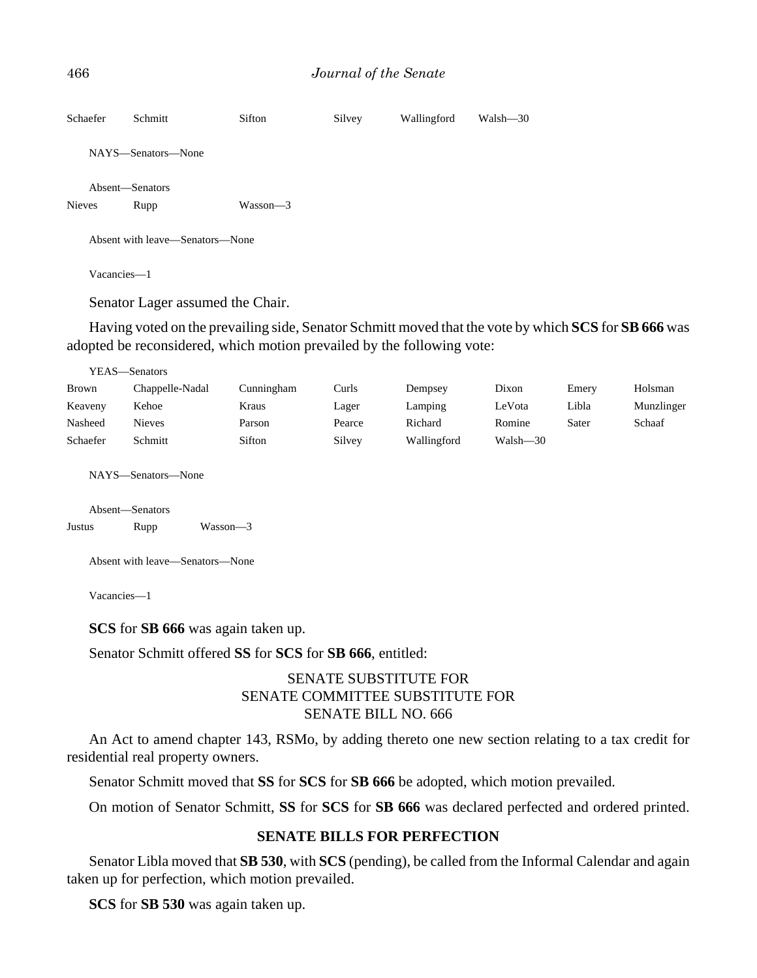```
466 Journal of the Senate
```

```
Schaefer Schmitt Sifton Silvey Wallingford Walsh—30
   NAYS—Senators—None
   Absent—Senators
Nieves Rupp Wasson—3
   Absent with leave—Senators—None
   Vacancies—1
```
Senator Lager assumed the Chair.

Having voted on the prevailing side, Senator Schmitt moved that the vote by which **SCS** for **SB 666** was adopted be reconsidered, which motion prevailed by the following vote:

| YEAS—Senators |                 |            |        |             |          |       |            |
|---------------|-----------------|------------|--------|-------------|----------|-------|------------|
| <b>Brown</b>  | Chappelle-Nadal | Cunningham | Curls  | Dempsey     | Dixon    | Emery | Holsman    |
| Keaveny       | Kehoe           | Kraus      | Lager  | Lamping     | LeVota   | Libla | Munzlinger |
| Nasheed       | <b>Nieves</b>   | Parson     | Pearce | Richard     | Romine   | Sater | Schaaf     |
| Schaefer      | Schmitt         | Sifton     | Silvey | Wallingford | Walsh-30 |       |            |

NAYS—Senators—None

Absent—Senators

Justus Rupp Wasson—3

Absent with leave—Senators—None

Vacancies—1

**SCS** for **SB 666** was again taken up.

Senator Schmitt offered **SS** for **SCS** for **SB 666**, entitled:

# SENATE SUBSTITUTE FOR SENATE COMMITTEE SUBSTITUTE FOR SENATE BILL NO. 666

An Act to amend chapter 143, RSMo, by adding thereto one new section relating to a tax credit for residential real property owners.

Senator Schmitt moved that **SS** for **SCS** for **SB 666** be adopted, which motion prevailed.

On motion of Senator Schmitt, **SS** for **SCS** for **SB 666** was declared perfected and ordered printed.

## **SENATE BILLS FOR PERFECTION**

Senator Libla moved that **SB 530**, with **SCS** (pending), be called from the Informal Calendar and again taken up for perfection, which motion prevailed.

**SCS** for **SB 530** was again taken up.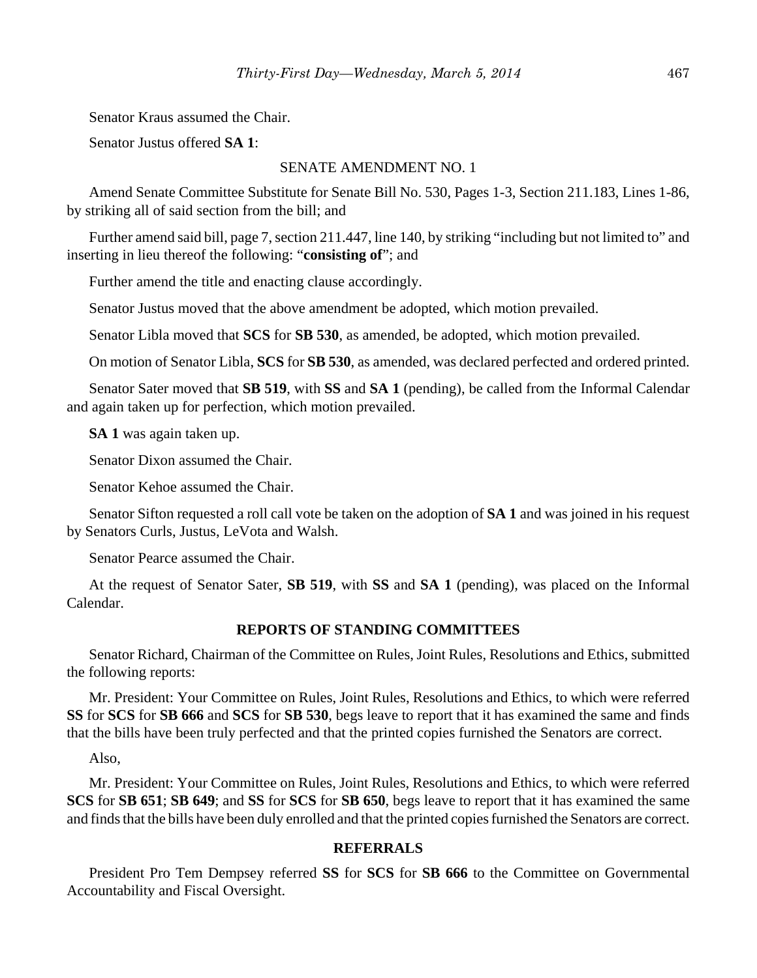Senator Kraus assumed the Chair.

Senator Justus offered **SA 1**:

#### SENATE AMENDMENT NO. 1

Amend Senate Committee Substitute for Senate Bill No. 530, Pages 1-3, Section 211.183, Lines 1-86, by striking all of said section from the bill; and

Further amend said bill, page 7, section 211.447, line 140, by striking "including but not limited to" and inserting in lieu thereof the following: "**consisting of**"; and

Further amend the title and enacting clause accordingly.

Senator Justus moved that the above amendment be adopted, which motion prevailed.

Senator Libla moved that **SCS** for **SB 530**, as amended, be adopted, which motion prevailed.

On motion of Senator Libla, **SCS** for **SB 530**, as amended, was declared perfected and ordered printed.

Senator Sater moved that **SB 519**, with **SS** and **SA 1** (pending), be called from the Informal Calendar and again taken up for perfection, which motion prevailed.

**SA 1** was again taken up.

Senator Dixon assumed the Chair.

Senator Kehoe assumed the Chair.

Senator Sifton requested a roll call vote be taken on the adoption of **SA 1** and was joined in his request by Senators Curls, Justus, LeVota and Walsh.

Senator Pearce assumed the Chair.

At the request of Senator Sater, **SB 519**, with **SS** and **SA 1** (pending), was placed on the Informal Calendar.

#### **REPORTS OF STANDING COMMITTEES**

Senator Richard, Chairman of the Committee on Rules, Joint Rules, Resolutions and Ethics, submitted the following reports:

Mr. President: Your Committee on Rules, Joint Rules, Resolutions and Ethics, to which were referred **SS** for **SCS** for **SB 666** and **SCS** for **SB 530**, begs leave to report that it has examined the same and finds that the bills have been truly perfected and that the printed copies furnished the Senators are correct.

Also,

Mr. President: Your Committee on Rules, Joint Rules, Resolutions and Ethics, to which were referred **SCS** for **SB 651**; **SB 649**; and **SS** for **SCS** for **SB 650**, begs leave to report that it has examined the same and finds that the bills have been duly enrolled and that the printed copies furnished the Senators are correct.

## **REFERRALS**

President Pro Tem Dempsey referred **SS** for **SCS** for **SB 666** to the Committee on Governmental Accountability and Fiscal Oversight.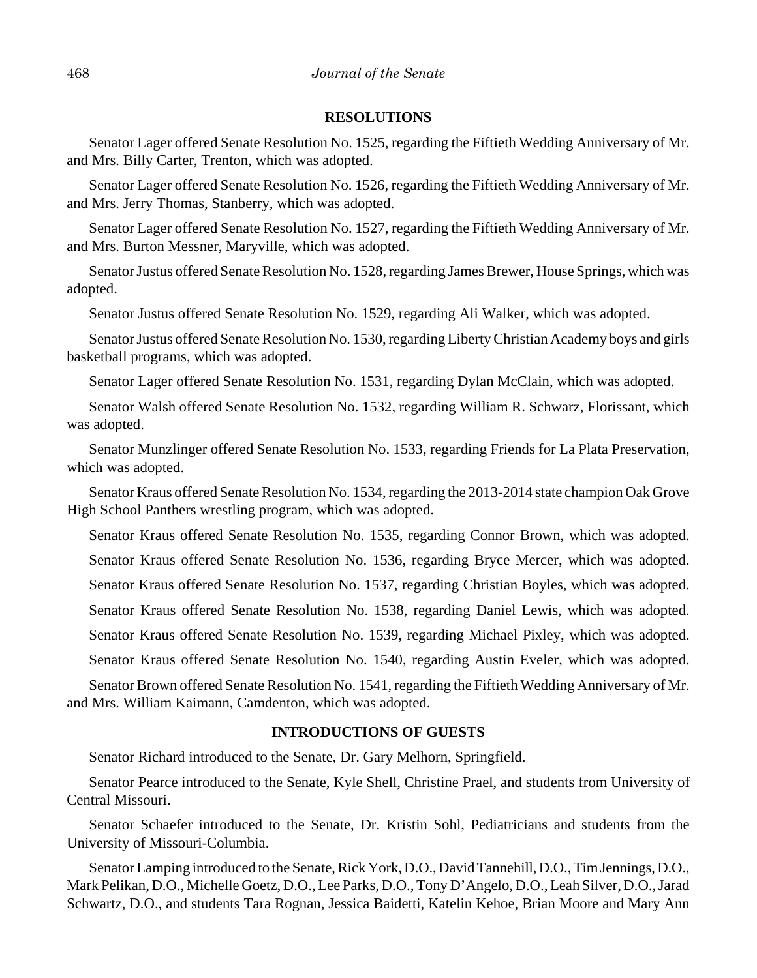#### **RESOLUTIONS**

Senator Lager offered Senate Resolution No. 1525, regarding the Fiftieth Wedding Anniversary of Mr. and Mrs. Billy Carter, Trenton, which was adopted.

Senator Lager offered Senate Resolution No. 1526, regarding the Fiftieth Wedding Anniversary of Mr. and Mrs. Jerry Thomas, Stanberry, which was adopted.

Senator Lager offered Senate Resolution No. 1527, regarding the Fiftieth Wedding Anniversary of Mr. and Mrs. Burton Messner, Maryville, which was adopted.

Senator Justus offered Senate Resolution No. 1528, regarding James Brewer, House Springs, which was adopted.

Senator Justus offered Senate Resolution No. 1529, regarding Ali Walker, which was adopted.

Senator Justus offered Senate Resolution No. 1530, regarding Liberty Christian Academy boys and girls basketball programs, which was adopted.

Senator Lager offered Senate Resolution No. 1531, regarding Dylan McClain, which was adopted.

Senator Walsh offered Senate Resolution No. 1532, regarding William R. Schwarz, Florissant, which was adopted.

Senator Munzlinger offered Senate Resolution No. 1533, regarding Friends for La Plata Preservation, which was adopted.

Senator Kraus offered Senate Resolution No. 1534, regarding the 2013-2014 state champion Oak Grove High School Panthers wrestling program, which was adopted.

Senator Kraus offered Senate Resolution No. 1535, regarding Connor Brown, which was adopted. Senator Kraus offered Senate Resolution No. 1536, regarding Bryce Mercer, which was adopted. Senator Kraus offered Senate Resolution No. 1537, regarding Christian Boyles, which was adopted. Senator Kraus offered Senate Resolution No. 1538, regarding Daniel Lewis, which was adopted. Senator Kraus offered Senate Resolution No. 1539, regarding Michael Pixley, which was adopted. Senator Kraus offered Senate Resolution No. 1540, regarding Austin Eveler, which was adopted.

Senator Brown offered Senate Resolution No. 1541, regarding the Fiftieth Wedding Anniversary of Mr. and Mrs. William Kaimann, Camdenton, which was adopted.

## **INTRODUCTIONS OF GUESTS**

Senator Richard introduced to the Senate, Dr. Gary Melhorn, Springfield.

Senator Pearce introduced to the Senate, Kyle Shell, Christine Prael, and students from University of Central Missouri.

Senator Schaefer introduced to the Senate, Dr. Kristin Sohl, Pediatricians and students from the University of Missouri-Columbia.

Senator Lamping introduced to the Senate, Rick York, D.O., David Tannehill, D.O., Tim Jennings, D.O., Mark Pelikan, D.O., Michelle Goetz, D.O., Lee Parks, D.O., Tony D'Angelo, D.O., Leah Silver, D.O., Jarad Schwartz, D.O., and students Tara Rognan, Jessica Baidetti, Katelin Kehoe, Brian Moore and Mary Ann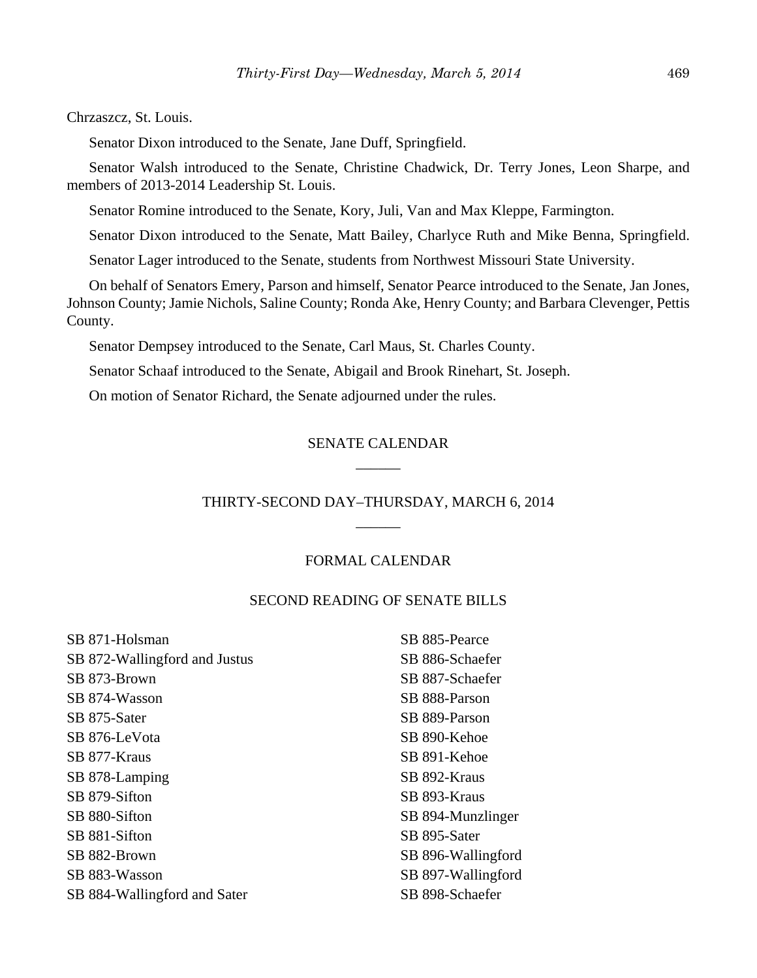Chrzaszcz, St. Louis.

Senator Dixon introduced to the Senate, Jane Duff, Springfield.

Senator Walsh introduced to the Senate, Christine Chadwick, Dr. Terry Jones, Leon Sharpe, and members of 2013-2014 Leadership St. Louis.

Senator Romine introduced to the Senate, Kory, Juli, Van and Max Kleppe, Farmington.

Senator Dixon introduced to the Senate, Matt Bailey, Charlyce Ruth and Mike Benna, Springfield.

Senator Lager introduced to the Senate, students from Northwest Missouri State University.

On behalf of Senators Emery, Parson and himself, Senator Pearce introduced to the Senate, Jan Jones, Johnson County; Jamie Nichols, Saline County; Ronda Ake, Henry County; and Barbara Clevenger, Pettis County.

Senator Dempsey introduced to the Senate, Carl Maus, St. Charles County.

Senator Schaaf introduced to the Senate, Abigail and Brook Rinehart, St. Joseph.

On motion of Senator Richard, the Senate adjourned under the rules.

# SENATE CALENDAR \_\_\_\_\_\_

# THIRTY-SECOND DAY–THURSDAY, MARCH 6, 2014 \_\_\_\_\_\_

#### FORMAL CALENDAR

#### SECOND READING OF SENATE BILLS

| SB 871-Holsman                | SB 885-Pearce      |
|-------------------------------|--------------------|
| SB 872-Wallingford and Justus | SB 886-Schaefer    |
| SB 873-Brown                  | SB 887-Schaefer    |
| SB 874-Wasson                 | SB 888-Parson      |
| SB 875-Sater                  | SB 889-Parson      |
| SB 876-LeVota                 | SB 890-Kehoe       |
| SB 877-Kraus                  | SB 891-Kehoe       |
| SB 878-Lamping                | SB 892-Kraus       |
| SB 879-Sifton                 | SB 893-Kraus       |
| SB 880-Sifton                 | SB 894-Munzlinger  |
| SB 881-Sifton                 | SB 895-Sater       |
| SB 882-Brown                  | SB 896-Wallingford |
| SB 883-Wasson                 | SB 897-Wallingford |
| SB 884-Wallingford and Sater  | SB 898-Schaefer    |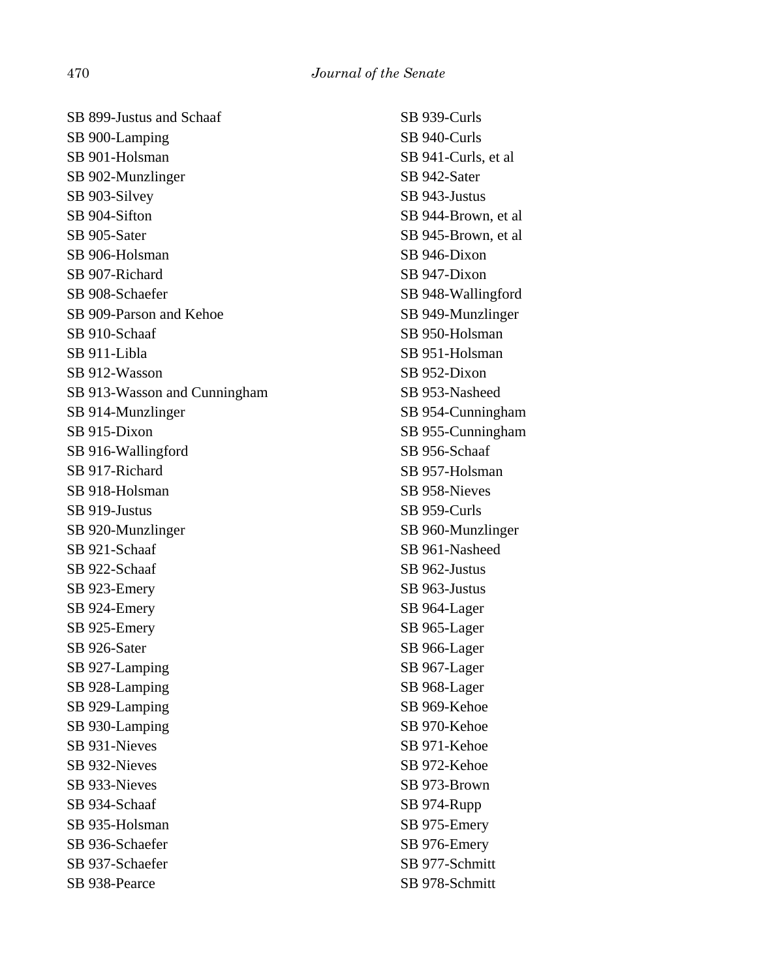SB 899-Justus and Schaaf SB 900-Lamping SB 901-Holsman SB 902-Munzlinger SB 903-Silvey SB 904-Sifton SB 905-Sater SB 906-Holsman SB 907-Richard SB 908-Schaefer SB 909-Parson and Kehoe SB 910-Schaaf SB 911-Libla SB 912-Wasson SB 913-Wasson and Cunningham SB 914-Munzlinger SB 915-Dixon SB 916-Wallingford SB 917-Richard SB 918-Holsman SB 919-Justus SB 920-Munzlinger SB 921-Schaaf SB 922-Schaaf SB 923-Emery SB 924-Emery SB 925-Emery SB 926-Sater SB 927-Lamping SB 928-Lamping SB 929-Lamping SB 930-Lamping SB 931-Nieves SB 932-Nieves SB 933-Nieves SB 934-Schaaf SB 935-Holsman SB 936-Schaefer SB 937-Schaefer SB 938-Pearce

SB 939-Curls SB 940-Curls SB 941-Curls, et al SB 942-Sater SB 943-Justus SB 944-Brown, et al SB 945-Brown, et al SB 946-Dixon SB 947-Dixon SB 948-Wallingford SB 949-Munzlinger SB 950-Holsman SB 951-Holsman SB 952-Dixon SB 953-Nasheed SB 954-Cunningham SB 955-Cunningham SB 956-Schaaf SB 957-Holsman SB 958-Nieves SB 959-Curls SB 960-Munzlinger SB 961-Nasheed SB 962-Justus SB 963-Justus SB 964-Lager SB 965-Lager SB 966-Lager SB 967-Lager SB 968-Lager SB 969-Kehoe SB 970-Kehoe SB 971-Kehoe SB 972-Kehoe SB 973-Brown SB 974-Rupp SB 975-Emery SB 976-Emery SB 977-Schmitt SB 978-Schmitt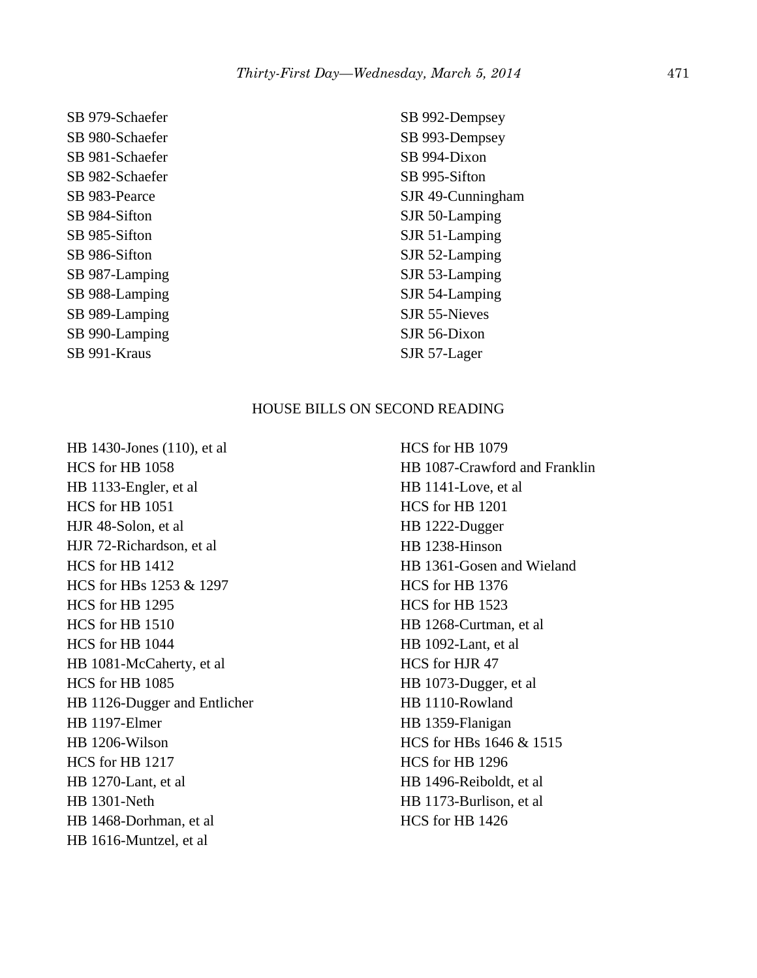SB 979-Schaefer SB 980-Schaefer SB 981-Schaefer SB 982-Schaefer SB 983-Pearce SB 984-Sifton SB 985-Sifton SB 986-Sifton SB 987-Lamping SB 988-Lamping SB 989-Lamping SB 990-Lamping SB 991-Kraus

SB 992-Dempsey SB 993-Dempsey SB 994-Dixon SB 995-Sifton SJR 49-Cunningham SJR 50-Lamping SJR 51-Lamping SJR 52-Lamping SJR 53-Lamping SJR 54-Lamping SJR 55-Nieves SJR 56-Dixon SJR 57-Lager

# HOUSE BILLS ON SECOND READING

HB 1430-Jones (110), et al HCS for HB 1058 HB 1133-Engler, et al HCS for HB 1051 HJR 48-Solon, et al HJR 72-Richardson, et al HCS for HB 1412 HCS for HBs 1253 & 1297 HCS for HB 1295 HCS for HB 1510 HCS for HB 1044 HB 1081-McCaherty, et al HCS for HB 1085 HB 1126-Dugger and Entlicher HB 1197-Elmer HB 1206-Wilson HCS for HB 1217 HB 1270-Lant, et al HB 1301-Neth HB 1468-Dorhman, et al HB 1616-Muntzel, et al

HCS for HB 1079 HB 1087-Crawford and Franklin HB 1141-Love, et al HCS for HB 1201 HB 1222-Dugger HB 1238-Hinson HB 1361-Gosen and Wieland HCS for HB 1376 HCS for HB 1523 HB 1268-Curtman, et al HB 1092-Lant, et al HCS for HJR 47 HB 1073-Dugger, et al HB 1110-Rowland HB 1359-Flanigan HCS for HBs 1646 & 1515 HCS for HB 1296 HB 1496-Reiboldt, et al HB 1173-Burlison, et al HCS for HB 1426